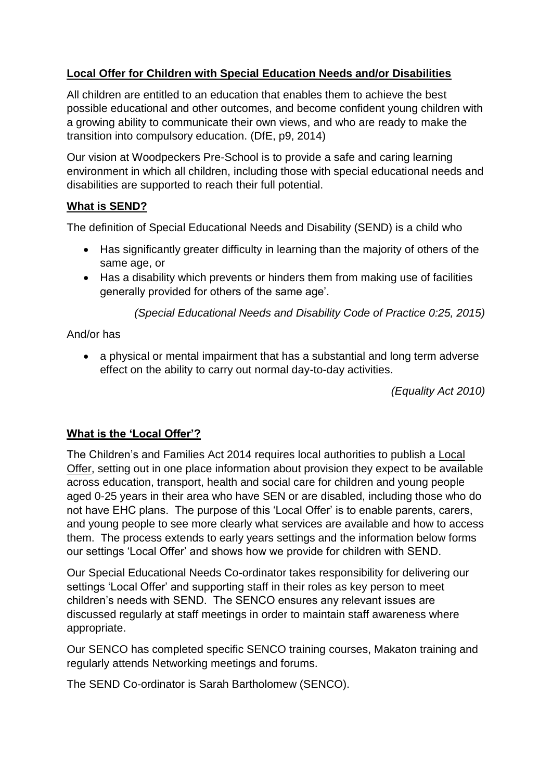# **Local Offer for Children with Special Education Needs and/or Disabilities**

All children are entitled to an education that enables them to achieve the best possible educational and other outcomes, and become confident young children with a growing ability to communicate their own views, and who are ready to make the transition into compulsory education. (DfE, p9, 2014)

Our vision at Woodpeckers Pre-School is to provide a safe and caring learning environment in which all children, including those with special educational needs and disabilities are supported to reach their full potential.

## **What is SEND?**

The definition of Special Educational Needs and Disability (SEND) is a child who

- Has significantly greater difficulty in learning than the majority of others of the same age, or
- Has a disability which prevents or hinders them from making use of facilities generally provided for others of the same age'.

*(Special Educational Needs and Disability Code of Practice 0:25, 2015)*

And/or has

• a physical or mental impairment that has a substantial and long term adverse effect on the ability to carry out normal day-to-day activities.

*(Equality Act 2010)*

## **What is the 'Local Offer'?**

The Children's and Families Act 2014 requires local authorities to publish a Local Offer, setting out in one place information about provision they expect to be available across education, transport, health and social care for children and young people aged 0-25 years in their area who have SEN or are disabled, including those who do not have EHC plans. The purpose of this 'Local Offer' is to enable parents, carers, and young people to see more clearly what services are available and how to access them. The process extends to early years settings and the information below forms our settings 'Local Offer' and shows how we provide for children with SEND.

Our Special Educational Needs Co-ordinator takes responsibility for delivering our settings 'Local Offer' and supporting staff in their roles as key person to meet children's needs with SEND. The SENCO ensures any relevant issues are discussed regularly at staff meetings in order to maintain staff awareness where appropriate.

Our SENCO has completed specific SENCO training courses, Makaton training and regularly attends Networking meetings and forums.

The SEND Co-ordinator is Sarah Bartholomew (SENCO).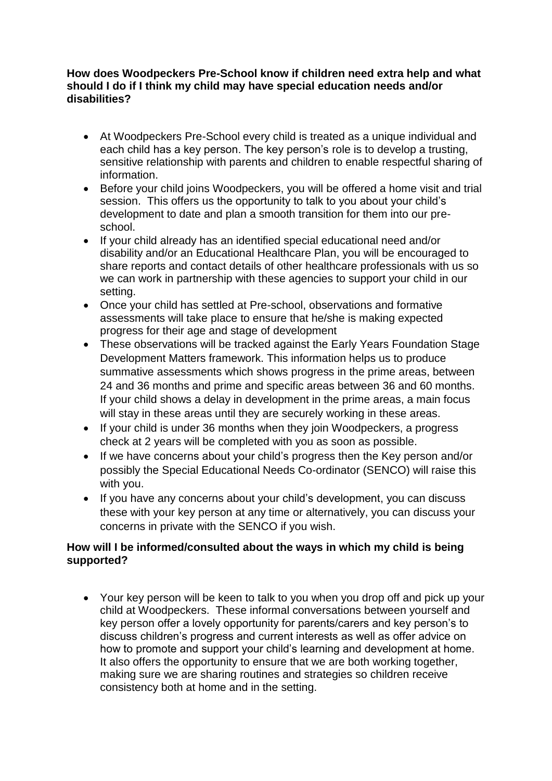#### **How does Woodpeckers Pre-School know if children need extra help and what should I do if I think my child may have special education needs and/or disabilities?**

- At Woodpeckers Pre-School every child is treated as a unique individual and each child has a key person. The key person's role is to develop a trusting, sensitive relationship with parents and children to enable respectful sharing of information.
- Before your child joins Woodpeckers, you will be offered a home visit and trial session. This offers us the opportunity to talk to you about your child's development to date and plan a smooth transition for them into our preschool.
- If your child already has an identified special educational need and/or disability and/or an Educational Healthcare Plan, you will be encouraged to share reports and contact details of other healthcare professionals with us so we can work in partnership with these agencies to support your child in our setting.
- Once your child has settled at Pre-school, observations and formative assessments will take place to ensure that he/she is making expected progress for their age and stage of development
- These observations will be tracked against the Early Years Foundation Stage Development Matters framework. This information helps us to produce summative assessments which shows progress in the prime areas, between 24 and 36 months and prime and specific areas between 36 and 60 months. If your child shows a delay in development in the prime areas, a main focus will stay in these areas until they are securely working in these areas.
- If your child is under 36 months when they join Woodpeckers, a progress check at 2 years will be completed with you as soon as possible.
- If we have concerns about your child's progress then the Key person and/or possibly the Special Educational Needs Co-ordinator (SENCO) will raise this with you.
- If you have any concerns about your child's development, you can discuss these with your key person at any time or alternatively, you can discuss your concerns in private with the SENCO if you wish.

## **How will I be informed/consulted about the ways in which my child is being supported?**

• Your key person will be keen to talk to you when you drop off and pick up your child at Woodpeckers. These informal conversations between yourself and key person offer a lovely opportunity for parents/carers and key person's to discuss children's progress and current interests as well as offer advice on how to promote and support your child's learning and development at home. It also offers the opportunity to ensure that we are both working together, making sure we are sharing routines and strategies so children receive consistency both at home and in the setting.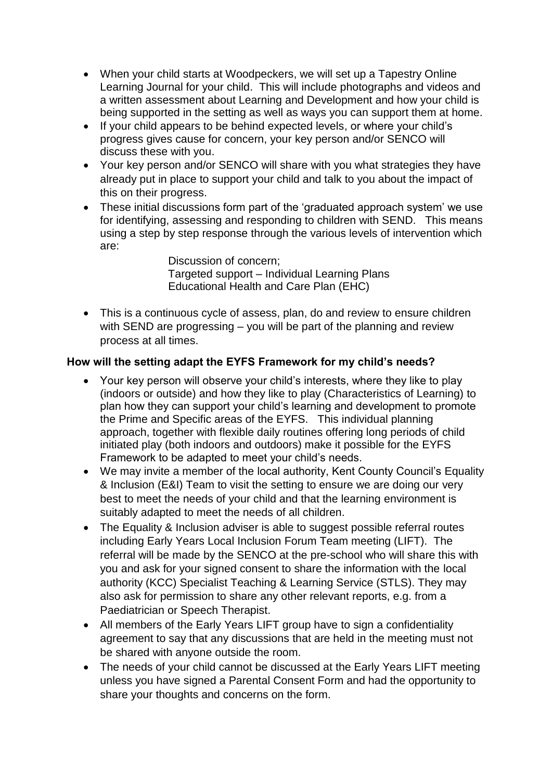- When your child starts at Woodpeckers, we will set up a Tapestry Online Learning Journal for your child. This will include photographs and videos and a written assessment about Learning and Development and how your child is being supported in the setting as well as ways you can support them at home.
- If your child appears to be behind expected levels, or where your child's progress gives cause for concern, your key person and/or SENCO will discuss these with you.
- Your key person and/or SENCO will share with you what strategies they have already put in place to support your child and talk to you about the impact of this on their progress.
- These initial discussions form part of the 'graduated approach system' we use for identifying, assessing and responding to children with SEND. This means using a step by step response through the various levels of intervention which are:

 Discussion of concern; Targeted support – Individual Learning Plans Educational Health and Care Plan (EHC)

• This is a continuous cycle of assess, plan, do and review to ensure children with SEND are progressing – you will be part of the planning and review process at all times.

## **How will the setting adapt the EYFS Framework for my child's needs?**

- Your key person will observe your child's interests, where they like to play (indoors or outside) and how they like to play (Characteristics of Learning) to plan how they can support your child's learning and development to promote the Prime and Specific areas of the EYFS. This individual planning approach, together with flexible daily routines offering long periods of child initiated play (both indoors and outdoors) make it possible for the EYFS Framework to be adapted to meet your child's needs.
- We may invite a member of the local authority, Kent County Council's Equality & Inclusion (E&I) Team to visit the setting to ensure we are doing our very best to meet the needs of your child and that the learning environment is suitably adapted to meet the needs of all children.
- The Equality & Inclusion adviser is able to suggest possible referral routes including Early Years Local Inclusion Forum Team meeting (LIFT). The referral will be made by the SENCO at the pre-school who will share this with you and ask for your signed consent to share the information with the local authority (KCC) Specialist Teaching & Learning Service (STLS). They may also ask for permission to share any other relevant reports, e.g. from a Paediatrician or Speech Therapist.
- All members of the Early Years LIFT group have to sign a confidentiality agreement to say that any discussions that are held in the meeting must not be shared with anyone outside the room.
- The needs of your child cannot be discussed at the Early Years LIFT meeting unless you have signed a Parental Consent Form and had the opportunity to share your thoughts and concerns on the form.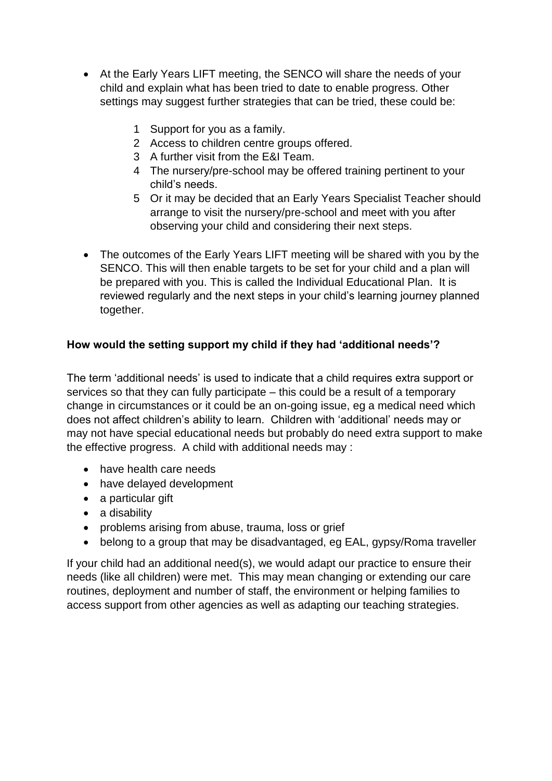- At the Early Years LIFT meeting, the SENCO will share the needs of your child and explain what has been tried to date to enable progress. Other settings may suggest further strategies that can be tried, these could be:
	- 1 Support for you as a family.
	- 2 Access to children centre groups offered.
	- 3 A further visit from the E&I Team.
	- 4 The nursery/pre-school may be offered training pertinent to your child's needs.
	- 5 Or it may be decided that an Early Years Specialist Teacher should arrange to visit the nursery/pre-school and meet with you after observing your child and considering their next steps.
- The outcomes of the Early Years LIFT meeting will be shared with you by the SENCO. This will then enable targets to be set for your child and a plan will be prepared with you. This is called the Individual Educational Plan. It is reviewed regularly and the next steps in your child's learning journey planned together.

# **How would the setting support my child if they had 'additional needs'?**

The term 'additional needs' is used to indicate that a child requires extra support or services so that they can fully participate – this could be a result of a temporary change in circumstances or it could be an on-going issue, eg a medical need which does not affect children's ability to learn. Children with 'additional' needs may or may not have special educational needs but probably do need extra support to make the effective progress. A child with additional needs may :

- have health care needs
- have delayed development
- a particular gift
- a disability
- problems arising from abuse, trauma, loss or grief
- belong to a group that may be disadvantaged, eg EAL, gypsy/Roma traveller

If your child had an additional need(s), we would adapt our practice to ensure their needs (like all children) were met. This may mean changing or extending our care routines, deployment and number of staff, the environment or helping families to access support from other agencies as well as adapting our teaching strategies.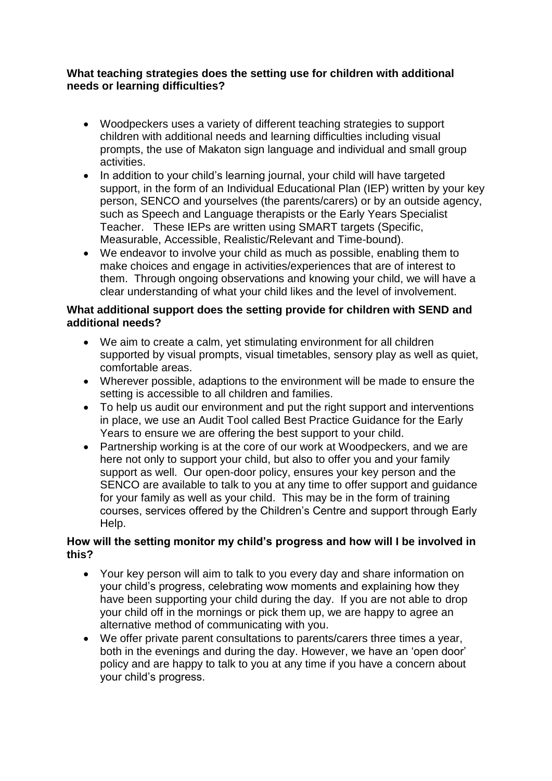### **What teaching strategies does the setting use for children with additional needs or learning difficulties?**

- Woodpeckers uses a variety of different teaching strategies to support children with additional needs and learning difficulties including visual prompts, the use of Makaton sign language and individual and small group activities.
- In addition to your child's learning journal, your child will have targeted support, in the form of an Individual Educational Plan (IEP) written by your key person, SENCO and yourselves (the parents/carers) or by an outside agency, such as Speech and Language therapists or the Early Years Specialist Teacher. These IEPs are written using SMART targets (Specific, Measurable, Accessible, Realistic/Relevant and Time-bound).
- We endeavor to involve your child as much as possible, enabling them to make choices and engage in activities/experiences that are of interest to them. Through ongoing observations and knowing your child, we will have a clear understanding of what your child likes and the level of involvement.

#### **What additional support does the setting provide for children with SEND and additional needs?**

- We aim to create a calm, yet stimulating environment for all children supported by visual prompts, visual timetables, sensory play as well as quiet, comfortable areas.
- Wherever possible, adaptions to the environment will be made to ensure the setting is accessible to all children and families.
- To help us audit our environment and put the right support and interventions in place, we use an Audit Tool called Best Practice Guidance for the Early Years to ensure we are offering the best support to your child.
- Partnership working is at the core of our work at Woodpeckers, and we are here not only to support your child, but also to offer you and your family support as well. Our open-door policy, ensures your key person and the SENCO are available to talk to you at any time to offer support and guidance for your family as well as your child. This may be in the form of training courses, services offered by the Children's Centre and support through Early Help.

### **How will the setting monitor my child's progress and how will I be involved in this?**

- Your key person will aim to talk to you every day and share information on your child's progress, celebrating wow moments and explaining how they have been supporting your child during the day. If you are not able to drop your child off in the mornings or pick them up, we are happy to agree an alternative method of communicating with you.
- We offer private parent consultations to parents/carers three times a year, both in the evenings and during the day. However, we have an 'open door' policy and are happy to talk to you at any time if you have a concern about your child's progress.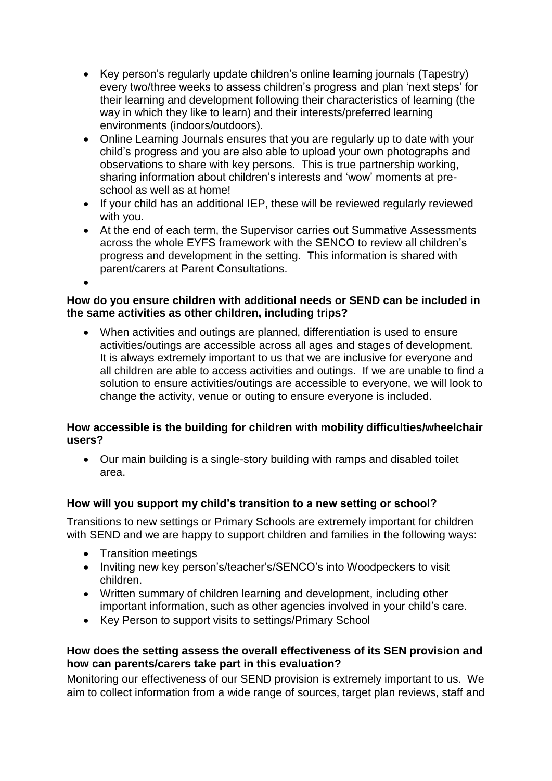- Key person's regularly update children's online learning journals (Tapestry) every two/three weeks to assess children's progress and plan 'next steps' for their learning and development following their characteristics of learning (the way in which they like to learn) and their interests/preferred learning environments (indoors/outdoors).
- Online Learning Journals ensures that you are regularly up to date with your child's progress and you are also able to upload your own photographs and observations to share with key persons. This is true partnership working, sharing information about children's interests and 'wow' moments at preschool as well as at home!
- If your child has an additional IEP, these will be reviewed regularly reviewed with you.
- At the end of each term, the Supervisor carries out Summative Assessments across the whole EYFS framework with the SENCO to review all children's progress and development in the setting. This information is shared with parent/carers at Parent Consultations.

•

## **How do you ensure children with additional needs or SEND can be included in the same activities as other children, including trips?**

• When activities and outings are planned, differentiation is used to ensure activities/outings are accessible across all ages and stages of development. It is always extremely important to us that we are inclusive for everyone and all children are able to access activities and outings. If we are unable to find a solution to ensure activities/outings are accessible to everyone, we will look to change the activity, venue or outing to ensure everyone is included.

## **How accessible is the building for children with mobility difficulties/wheelchair users?**

• Our main building is a single-story building with ramps and disabled toilet area.

# **How will you support my child's transition to a new setting or school?**

Transitions to new settings or Primary Schools are extremely important for children with SEND and we are happy to support children and families in the following ways:

- Transition meetings
- Inviting new key person's/teacher's/SENCO's into Woodpeckers to visit children.
- Written summary of children learning and development, including other important information, such as other agencies involved in your child's care.
- Key Person to support visits to settings/Primary School

## **How does the setting assess the overall effectiveness of its SEN provision and how can parents/carers take part in this evaluation?**

Monitoring our effectiveness of our SEND provision is extremely important to us. We aim to collect information from a wide range of sources, target plan reviews, staff and